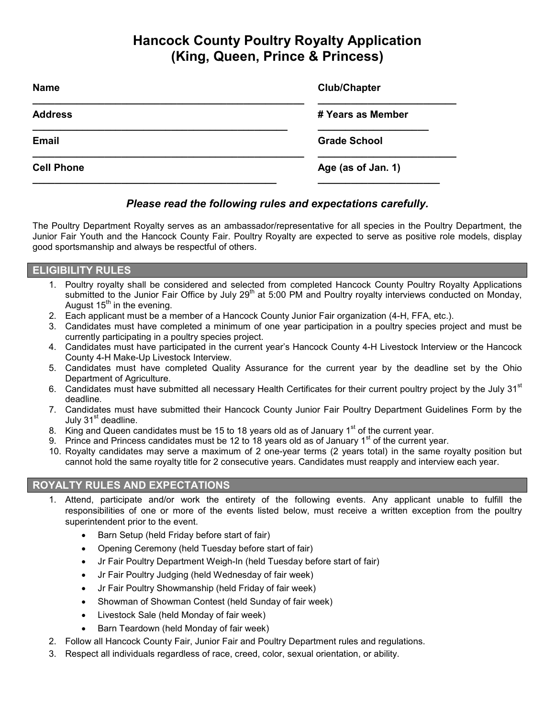# **Hancock County Poultry Royalty Application (King, Queen, Prince & Princess)**

| <b>Name</b>       | <b>Club/Chapter</b> |
|-------------------|---------------------|
| <b>Address</b>    | # Years as Member   |
| <b>Email</b>      | <b>Grade School</b> |
| <b>Cell Phone</b> | Age (as of Jan. 1)  |
|                   |                     |

## *Please read the following rules and expectations carefully.*

The Poultry Department Royalty serves as an ambassador/representative for all species in the Poultry Department, the Junior Fair Youth and the Hancock County Fair. Poultry Royalty are expected to serve as positive role models, display good sportsmanship and always be respectful of others.

## **ELIGIBILITY RULES**

- 1. Poultry royalty shall be considered and selected from completed Hancock County Poultry Royalty Applications submitted to the Junior Fair Office by July 29<sup>th</sup> at 5:00 PM and Poultry royalty interviews conducted on Monday, August  $15<sup>th</sup>$  in the evening.
- 2. Each applicant must be a member of a Hancock County Junior Fair organization (4-H, FFA, etc.).
- 3. Candidates must have completed a minimum of one year participation in a poultry species project and must be currently participating in a poultry species project.
- 4. Candidates must have participated in the current year's Hancock County 4-H Livestock Interview or the Hancock County 4-H Make-Up Livestock Interview.
- 5. Candidates must have completed Quality Assurance for the current year by the deadline set by the Ohio Department of Agriculture.
- 6. Candidates must have submitted all necessary Health Certificates for their current poultry project by the July 31<sup>st</sup> deadline.
- 7. Candidates must have submitted their Hancock County Junior Fair Poultry Department Guidelines Form by the July  $31<sup>st</sup>$  deadline.
- 8. King and Queen candidates must be 15 to 18 years old as of January 1<sup>st</sup> of the current year.
- 9. Prince and Princess candidates must be 12 to 18 years old as of January 1<sup>st</sup> of the current year.
- 10. Royalty candidates may serve a maximum of 2 one-year terms (2 years total) in the same royalty position but cannot hold the same royalty title for 2 consecutive years. Candidates must reapply and interview each year.

## **ROYALTY RULES AND EXPECTATIONS**

- 1. Attend, participate and/or work the entirety of the following events. Any applicant unable to fulfill the responsibilities of one or more of the events listed below, must receive a written exception from the poultry superintendent prior to the event.
	- Barn Setup (held Friday before start of fair)
	- Opening Ceremony (held Tuesday before start of fair)
	- Jr Fair Poultry Department Weigh-In (held Tuesday before start of fair)
	- Jr Fair Poultry Judging (held Wednesday of fair week)
	- Jr Fair Poultry Showmanship (held Friday of fair week)
	- Showman of Showman Contest (held Sunday of fair week)
	- Livestock Sale (held Monday of fair week)
	- Barn Teardown (held Monday of fair week)
- 2. Follow all Hancock County Fair, Junior Fair and Poultry Department rules and regulations.
- 3. Respect all individuals regardless of race, creed, color, sexual orientation, or ability.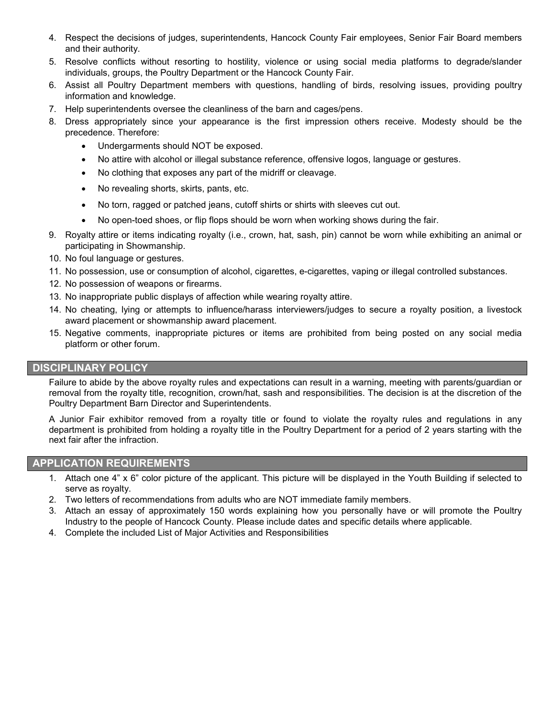- 4. Respect the decisions of judges, superintendents, Hancock County Fair employees, Senior Fair Board members and their authority.
- 5. Resolve conflicts without resorting to hostility, violence or using social media platforms to degrade/slander individuals, groups, the Poultry Department or the Hancock County Fair.
- 6. Assist all Poultry Department members with questions, handling of birds, resolving issues, providing poultry information and knowledge.
- 7. Help superintendents oversee the cleanliness of the barn and cages/pens.
- 8. Dress appropriately since your appearance is the first impression others receive. Modesty should be the precedence. Therefore:
	- Undergarments should NOT be exposed.
	- No attire with alcohol or illegal substance reference, offensive logos, language or gestures.
	- No clothing that exposes any part of the midriff or cleavage.
	- No revealing shorts, skirts, pants, etc.
	- No torn, ragged or patched jeans, cutoff shirts or shirts with sleeves cut out.
	- No open-toed shoes, or flip flops should be worn when working shows during the fair.
- 9. Royalty attire or items indicating royalty (i.e., crown, hat, sash, pin) cannot be worn while exhibiting an animal or participating in Showmanship.
- 10. No foul language or gestures.
- 11. No possession, use or consumption of alcohol, cigarettes, e-cigarettes, vaping or illegal controlled substances.
- 12. No possession of weapons or firearms.
- 13. No inappropriate public displays of affection while wearing royalty attire.
- 14. No cheating, lying or attempts to influence/harass interviewers/judges to secure a royalty position, a livestock award placement or showmanship award placement.
- 15. Negative comments, inappropriate pictures or items are prohibited from being posted on any social media platform or other forum.

#### **DISCIPLINARY POLICY**

Failure to abide by the above royalty rules and expectations can result in a warning, meeting with parents/guardian or removal from the royalty title, recognition, crown/hat, sash and responsibilities. The decision is at the discretion of the Poultry Department Barn Director and Superintendents.

A Junior Fair exhibitor removed from a royalty title or found to violate the royalty rules and regulations in any department is prohibited from holding a royalty title in the Poultry Department for a period of 2 years starting with the next fair after the infraction.

#### **APPLICATION REQUIREMENTS**

- 1. Attach one 4" x 6" color picture of the applicant. This picture will be displayed in the Youth Building if selected to serve as royalty.
- 2. Two letters of recommendations from adults who are NOT immediate family members.
- 3. Attach an essay of approximately 150 words explaining how you personally have or will promote the Poultry Industry to the people of Hancock County. Please include dates and specific details where applicable.
- 4. Complete the included List of Major Activities and Responsibilities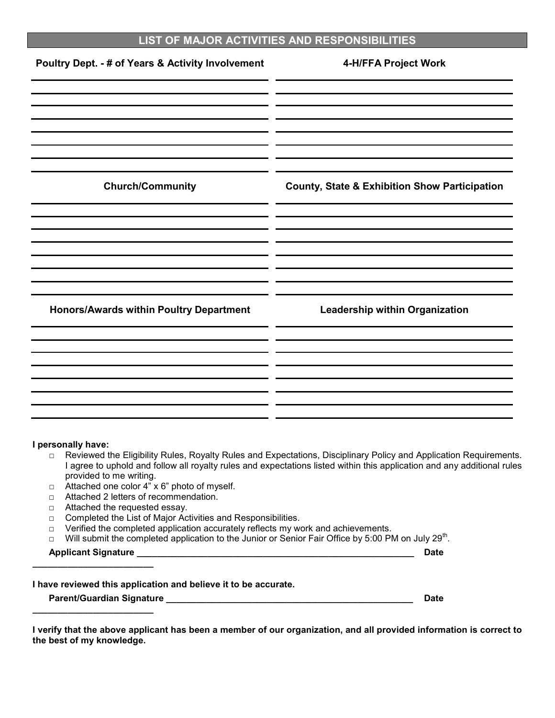## **LIST OF MAJOR ACTIVITIES AND RESPONSIBILITIES**

| Poultry Dept. - # of Years & Activity Involvement | 4-H/FFA Project Work                                     |
|---------------------------------------------------|----------------------------------------------------------|
| <b>Church/Community</b>                           | <b>County, State &amp; Exhibition Show Participation</b> |
|                                                   |                                                          |
| Honors/Awards within Poultry Department           | <b>Leadership within Organization</b>                    |
|                                                   |                                                          |

#### **I personally have:**

- □ Reviewed the Eligibility Rules, Royalty Rules and Expectations, Disciplinary Policy and Application Requirements. I agree to uphold and follow all royalty rules and expectations listed within this application and any additional rules provided to me writing.
- □ Attached one color 4" x 6" photo of myself.
- □ Attached 2 letters of recommendation.
- □ Attached the requested essay.
- □ Completed the List of Major Activities and Responsibilities.
- $\Box$  Verified the completed application accurately reflects my work and achievements.
- □ Will submit the completed application to the Junior or Senior Fair Office by 5:00 PM on July 29<sup>th</sup>.

**Applicant Signature \_\_\_\_\_\_\_\_\_\_\_\_\_\_\_\_\_\_\_\_\_\_\_\_\_\_\_\_\_\_\_\_\_\_\_\_\_\_\_\_\_\_\_\_\_\_\_\_\_\_\_\_\_\_\_ Date \_\_\_\_\_\_\_\_\_\_\_\_\_\_\_\_\_\_\_\_\_\_\_\_**

**I have reviewed this application and believe it to be accurate.** 

**Parent/Guardian Signature \_\_\_\_\_\_\_\_\_\_\_\_\_\_\_\_\_\_\_\_\_\_\_\_\_\_\_\_\_\_\_\_\_\_\_\_\_\_\_\_\_\_\_\_\_\_\_\_\_ Date \_\_\_\_\_\_\_\_\_\_\_\_\_\_\_\_\_\_\_\_\_\_\_\_**

**I verify that the above applicant has been a member of our organization, and all provided information is correct to the best of my knowledge.**